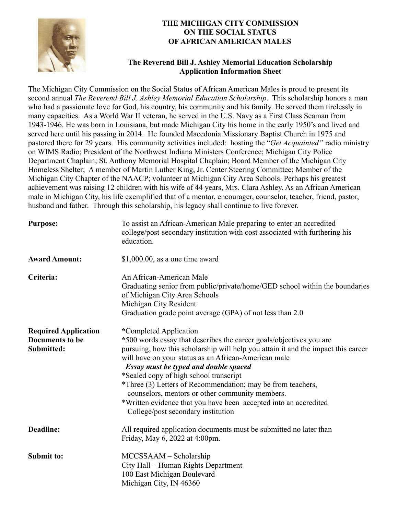

#### **THE MICHIGAN CITY COMMISSION ON THE SOCIAL STATUS OF AFRICAN AMERICAN MALES**

#### **The Reverend Bill J. Ashley Memorial Education Scholarship Application Information Sheet**

The Michigan City Commission on the Social Status of African American Males is proud to present its second annual *The Reverend Bill J. Ashley Memorial Education Scholarship*. This scholarship honors a man who had a passionate love for God, his country, his community and his family. He served them tirelessly in many capacities. As a World War II veteran, he served in the U.S. Navy as a First Class Seaman from 1943-1946. He was born in Louisiana, but made Michigan City his home in the early 1950's and lived and served here until his passing in 2014. He founded Macedonia Missionary Baptist Church in 1975 and pastored there for 29 years. His community activities included: hosting the "*Get Acquainted"* radio ministry on WIMS Radio; President of the Northwest Indiana Ministers Conference; Michigan City Police Department Chaplain; St. Anthony Memorial Hospital Chaplain; Board Member of the Michigan City Homeless Shelter; A member of Martin Luther King, Jr. Center Steering Committee; Member of the Michigan City Chapter of the NAACP; volunteer at Michigan City Area Schools. Perhaps his greatest achievement was raising 12 children with his wife of 44 years, Mrs. Clara Ashley. As an African American male in Michigan City, his life exemplified that of a mentor, encourager, counselor, teacher, friend, pastor, husband and father. Through this scholarship, his legacy shall continue to live forever.

| <b>Purpose:</b>                                                     | To assist an African-American Male preparing to enter an accredited<br>college/post-secondary institution with cost associated with furthering his<br>education.                                                                                                                                                                                                                                                                                                                                                                                                 |  |
|---------------------------------------------------------------------|------------------------------------------------------------------------------------------------------------------------------------------------------------------------------------------------------------------------------------------------------------------------------------------------------------------------------------------------------------------------------------------------------------------------------------------------------------------------------------------------------------------------------------------------------------------|--|
| <b>Award Amount:</b>                                                | $$1,000.00$ , as a one time award                                                                                                                                                                                                                                                                                                                                                                                                                                                                                                                                |  |
| Criteria:                                                           | An African-American Male<br>Graduating senior from public/private/home/GED school within the boundaries<br>of Michigan City Area Schools<br>Michigan City Resident<br>Graduation grade point average (GPA) of not less than 2.0                                                                                                                                                                                                                                                                                                                                  |  |
| <b>Required Application</b><br><b>Documents to be</b><br>Submitted: | *Completed Application<br>*500 words essay that describes the career goals/objectives you are<br>pursuing, how this scholarship will help you attain it and the impact this career<br>will have on your status as an African-American male<br><b>Essay must be typed and double spaced</b><br>*Sealed copy of high school transcript<br>*Three (3) Letters of Recommendation; may be from teachers,<br>counselors, mentors or other community members.<br>*Written evidence that you have been accepted into an accredited<br>College/post secondary institution |  |
| <b>Deadline:</b>                                                    | All required application documents must be submitted no later than<br>Friday, May 6, 2022 at 4:00pm.                                                                                                                                                                                                                                                                                                                                                                                                                                                             |  |
| <b>Submit to:</b>                                                   | MCCSSAAM - Scholarship<br>City Hall – Human Rights Department<br>100 East Michigan Boulevard<br>Michigan City, IN 46360                                                                                                                                                                                                                                                                                                                                                                                                                                          |  |